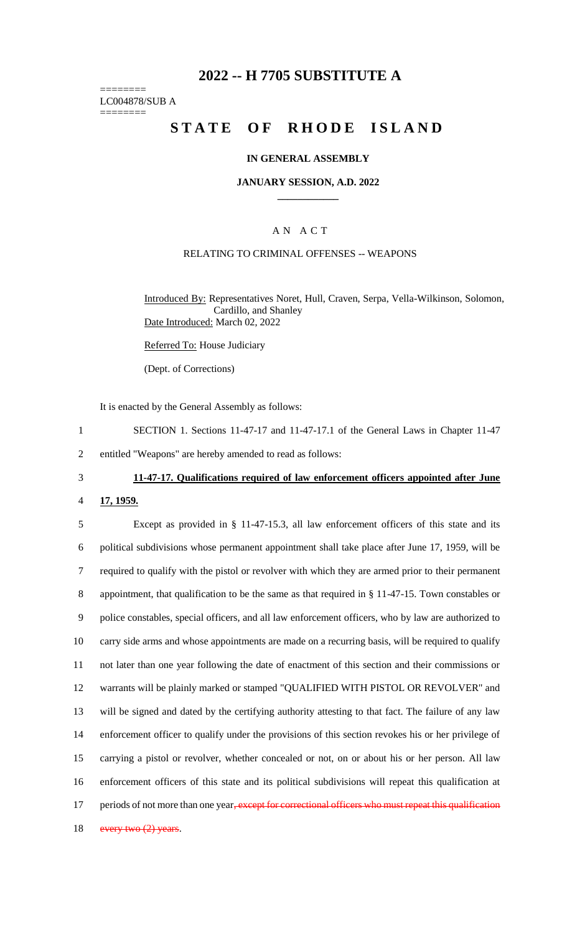## **2022 -- H 7705 SUBSTITUTE A**

======== LC004878/SUB A ========

# **STATE OF RHODE ISLAND**

### **IN GENERAL ASSEMBLY**

#### **JANUARY SESSION, A.D. 2022 \_\_\_\_\_\_\_\_\_\_\_\_**

### A N A C T

### RELATING TO CRIMINAL OFFENSES -- WEAPONS

Introduced By: Representatives Noret, Hull, Craven, Serpa, Vella-Wilkinson, Solomon, Cardillo, and Shanley Date Introduced: March 02, 2022

Referred To: House Judiciary

(Dept. of Corrections)

It is enacted by the General Assembly as follows:

1 SECTION 1. Sections 11-47-17 and 11-47-17.1 of the General Laws in Chapter 11-47

2 entitled "Weapons" are hereby amended to read as follows:

## 3 **11-47-17. Qualifications required of law enforcement officers appointed after June**

4 **17, 1959.**

 Except as provided in § 11-47-15.3, all law enforcement officers of this state and its political subdivisions whose permanent appointment shall take place after June 17, 1959, will be required to qualify with the pistol or revolver with which they are armed prior to their permanent appointment, that qualification to be the same as that required in § 11-47-15. Town constables or police constables, special officers, and all law enforcement officers, who by law are authorized to carry side arms and whose appointments are made on a recurring basis, will be required to qualify not later than one year following the date of enactment of this section and their commissions or warrants will be plainly marked or stamped "QUALIFIED WITH PISTOL OR REVOLVER" and will be signed and dated by the certifying authority attesting to that fact. The failure of any law enforcement officer to qualify under the provisions of this section revokes his or her privilege of carrying a pistol or revolver, whether concealed or not, on or about his or her person. All law enforcement officers of this state and its political subdivisions will repeat this qualification at 17 periods of not more than one year, except for correctional officers who must repeat this qualification 18 every two  $(2)$  years.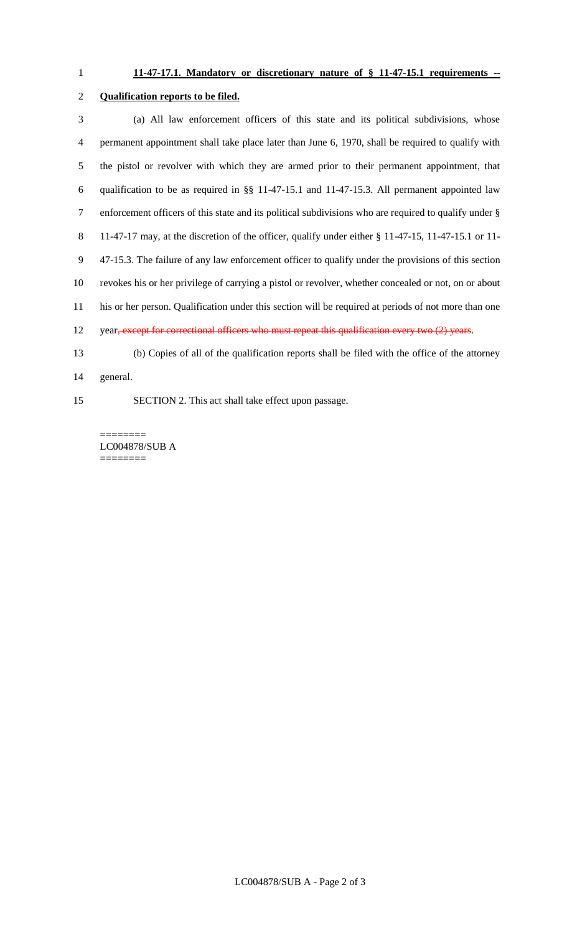### **11-47-17.1. Mandatory or discretionary nature of § 11-47-15.1 requirements --**

**Qualification reports to be filed.**

 (a) All law enforcement officers of this state and its political subdivisions, whose permanent appointment shall take place later than June 6, 1970, shall be required to qualify with the pistol or revolver with which they are armed prior to their permanent appointment, that qualification to be as required in §§ 11-47-15.1 and 11-47-15.3. All permanent appointed law enforcement officers of this state and its political subdivisions who are required to qualify under § 11-47-17 may, at the discretion of the officer, qualify under either § 11-47-15, 11-47-15.1 or 11- 47-15.3. The failure of any law enforcement officer to qualify under the provisions of this section revokes his or her privilege of carrying a pistol or revolver, whether concealed or not, on or about his or her person. Qualification under this section will be required at periods of not more than one 12 year, except for correctional officers who must repeat this qualification every two (2) years. (b) Copies of all of the qualification reports shall be filed with the office of the attorney general.

SECTION 2. This act shall take effect upon passage.

======== LC004878/SUB A ========